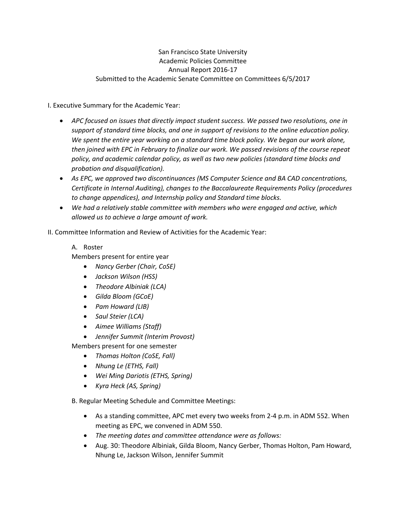# San Francisco State University Academic Policies Committee Annual Report 2016-17 Submitted to the Academic Senate Committee on Committees 6/5/2017

I. Executive Summary for the Academic Year:

- *APC focused on issues that directly impact student success. We passed two resolutions, one in support of standard time blocks, and one in support of revisions to the online education policy. We spent the entire year working on a standard time block policy. We began our work alone, then joined with EPC in February to finalize our work. We passed revisions of the course repeat policy, and academic calendar policy, as well as two new policies (standard time blocks and probation and disqualification).*
- *As EPC, we approved two discontinuances (MS Computer Science and BA CAD concentrations, Certificate in Internal Auditing), changes to the Baccalaureate Requirements Policy (procedures to change appendices), and Internship policy and Standard time blocks.*
- *We had a relatively stable committee with members who were engaged and active, which allowed us to achieve a large amount of work.*

II. Committee Information and Review of Activities for the Academic Year:

#### A. Roster

Members present for entire year

- *Nancy Gerber (Chair, CoSE)*
- *Jackson Wilson (HSS)*
- *Theodore Albiniak (LCA)*
- *Gilda Bloom (GCoE)*
- *Pam Howard (LIB)*
- *Saul Steier (LCA)*
- *Aimee Williams (Staff)*
- *Jennifer Summit (Interim Provost)*

Members present for one semester

- *Thomas Holton (CoSE, Fall)*
- *Nhung Le (ETHS, Fall)*
- *Wei Ming Dariotis (ETHS, Spring)*
- *Kyra Heck (AS, Spring)*

B. Regular Meeting Schedule and Committee Meetings:

- As a standing committee, APC met every two weeks from 2-4 p.m. in ADM 552. When meeting as EPC, we convened in ADM 550.
- *The meeting dates and committee attendance were as follows:*
- Aug. 30: Theodore Albiniak, Gilda Bloom, Nancy Gerber, Thomas Holton, Pam Howard, Nhung Le, Jackson Wilson, Jennifer Summit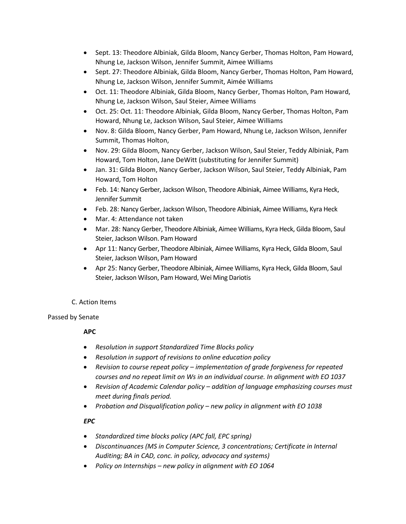- Sept. 13: Theodore Albiniak, Gilda Bloom, Nancy Gerber, Thomas Holton, Pam Howard, Nhung Le, Jackson Wilson, Jennifer Summit, Aimee Williams
- Sept. 27: Theodore Albiniak, Gilda Bloom, Nancy Gerber, Thomas Holton, Pam Howard, Nhung Le, Jackson Wilson, Jennifer Summit, Aimée Williams
- Oct. 11: Theodore Albiniak, Gilda Bloom, Nancy Gerber, Thomas Holton, Pam Howard, Nhung Le, Jackson Wilson, Saul Steier, Aimee Williams
- Oct. 25: Oct. 11: Theodore Albiniak, Gilda Bloom, Nancy Gerber, Thomas Holton, Pam Howard, Nhung Le, Jackson Wilson, Saul Steier, Aimee Williams
- Nov. 8: Gilda Bloom, Nancy Gerber, Pam Howard, Nhung Le, Jackson Wilson, Jennifer Summit, Thomas Holton,
- Nov. 29: Gilda Bloom, Nancy Gerber, Jackson Wilson, Saul Steier, Teddy Albiniak, Pam Howard, Tom Holton, Jane DeWitt (substituting for Jennifer Summit)
- Jan. 31: Gilda Bloom, Nancy Gerber, Jackson Wilson, Saul Steier, Teddy Albiniak, Pam Howard, Tom Holton
- Feb. 14: Nancy Gerber, Jackson Wilson, Theodore Albiniak, Aimee Williams, Kyra Heck, Jennifer Summit
- Feb. 28: Nancy Gerber, Jackson Wilson, Theodore Albiniak, Aimee Williams, Kyra Heck
- Mar. 4: Attendance not taken
- Mar. 28: Nancy Gerber, Theodore Albiniak, Aimee Williams, Kyra Heck, Gilda Bloom, Saul Steier, Jackson Wilson. Pam Howard
- Apr 11: Nancy Gerber, Theodore Albiniak, Aimee Williams, Kyra Heck, Gilda Bloom, Saul Steier, Jackson Wilson, Pam Howard
- Apr 25: Nancy Gerber, Theodore Albiniak, Aimee Williams, Kyra Heck, Gilda Bloom, Saul Steier, Jackson Wilson, Pam Howard, Wei Ming Dariotis

# C. Action Items

# Passed by Senate

# **APC**

- *Resolution in support Standardized Time Blocks policy*
- *Resolution in support of revisions to online education policy*
- *Revision to course repeat policy – implementation of grade forgiveness for repeated courses and no repeat limit on Ws in an individual course. In alignment with EO 1037*
- *Revision of Academic Calendar policy – addition of language emphasizing courses must meet during finals period.*
- *Probation and Disqualification policy – new policy in alignment with EO 1038*

# *EPC*

- *Standardized time blocks policy (APC fall, EPC spring)*
- *Discontinuances (MS in Computer Science, 3 concentrations; Certificate in Internal Auditing; BA in CAD, conc. in policy, advocacy and systems)*
- *Policy on Internships – new policy in alignment with EO 1064*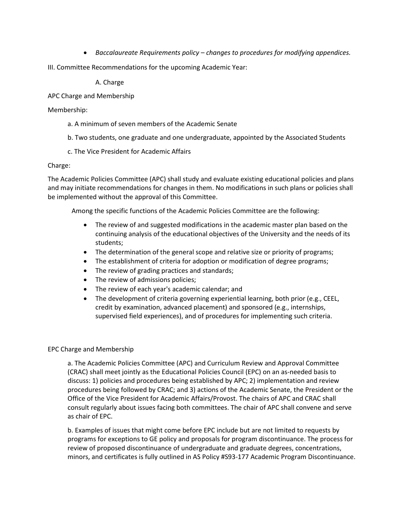- *Baccalaureate Requirements policy – changes to procedures for modifying appendices.*
- III. Committee Recommendations for the upcoming Academic Year:

A. Charge

APC Charge and Membership

#### Membership:

- a. A minimum of seven members of the Academic Senate
- b. Two students, one graduate and one undergraduate, appointed by the Associated Students
- c. The Vice President for Academic Affairs

#### Charge:

The Academic Policies Committee (APC) shall study and evaluate existing educational policies and plans and may initiate recommendations for changes in them. No modifications in such plans or policies shall be implemented without the approval of this Committee.

Among the specific functions of the Academic Policies Committee are the following:

- The review of and suggested modifications in the academic master plan based on the continuing analysis of the educational objectives of the University and the needs of its students;
- The determination of the general scope and relative size or priority of programs;
- The establishment of criteria for adoption or modification of degree programs;
- The review of grading practices and standards;
- The review of admissions policies;
- The review of each year's academic calendar; and
- The development of criteria governing experiential learning, both prior (e.g., CEEL, credit by examination, advanced placement) and sponsored (e.g., internships, supervised field experiences), and of procedures for implementing such criteria.

#### EPC Charge and Membership

a. The Academic Policies Committee (APC) and Curriculum Review and Approval Committee (CRAC) shall meet jointly as the Educational Policies Council (EPC) on an as-needed basis to discuss: 1) policies and procedures being established by APC; 2) implementation and review procedures being followed by CRAC; and 3) actions of the Academic Senate, the President or the Office of the Vice President for Academic Affairs/Provost. The chairs of APC and CRAC shall consult regularly about issues facing both committees. The chair of APC shall convene and serve as chair of EPC.

b. Examples of issues that might come before EPC include but are not limited to requests by programs for exceptions to GE policy and proposals for program discontinuance. The process for review of proposed discontinuance of undergraduate and graduate degrees, concentrations, minors, and certificates is fully outlined in AS Policy #S93-177 Academic Program Discontinuance.